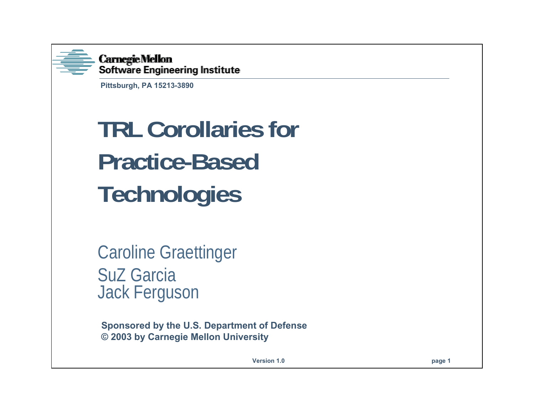

**Carnegie Mellon** Software Engineering Institute

**Pittsburgh, PA 15213-3890**

# **TRL Corollaries for Practice-BasedTechnologies**

Caroline Graettinger SuZ GarciaJack Ferguson

**Sponsored by the U.S. Department of Defense © 2003 by Carnegie Mellon University**

**Version 1.0**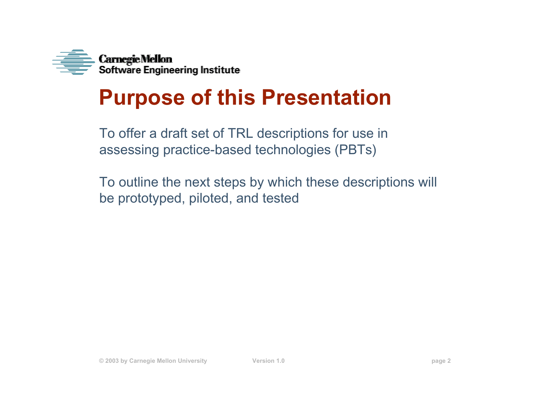

## **Purpose of this Presentation**

To offer a draft set of TRL descriptions for use in assessing practice-based technologies (PBTs)

To outline the next steps by which these descriptions will be prototyped, piloted, and tested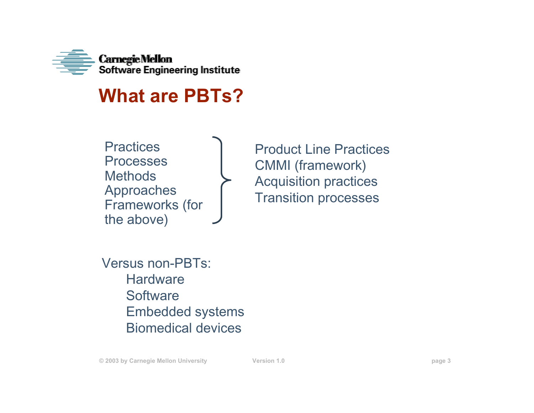

#### **What are PBTs?**

**Practices** Processes**Methods** Approaches Frameworks (for the above)

Product Line PracticesCMMI (framework) Acquisition practices Transition processes

Versus non-PBTs:**Hardware Software** Embedded systems Biomedical devices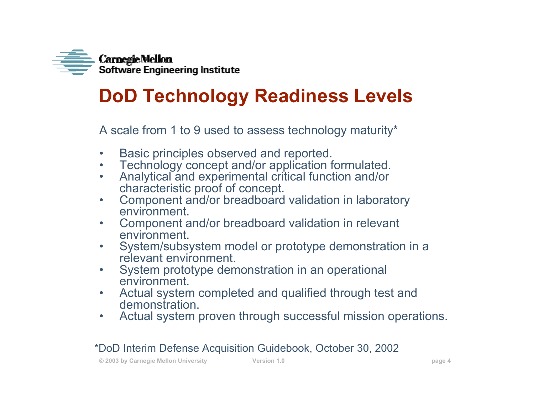

### **DoD Technology Readiness Levels**

A scale from 1 to 9 used to assess technology maturity\*

- $\bullet$ Basic principles observed and reported.
- •Technology concept and/or application formulated.
- • Analytical and experimental critical function and/or characteristic proof of concept.
- $\bullet$  Component and/or breadboard validation in laboratory environment.
- $\bullet$  Component and/or breadboard validation in relevant environment.
- $\bullet$  System/subsystem model or prototype demonstration in a relevant environment.
- $\bullet$  System prototype demonstration in an operational environment.
- $\bullet$  Actual system completed and qualified through test and demonstration.
- $\bullet$ Actual system proven through successful mission operations.

#### \*DoD Interim Defense Acquisition Guidebook, October 30, 2002

**© 2003 by Carnegie Mellon University Version 1.0 page 4**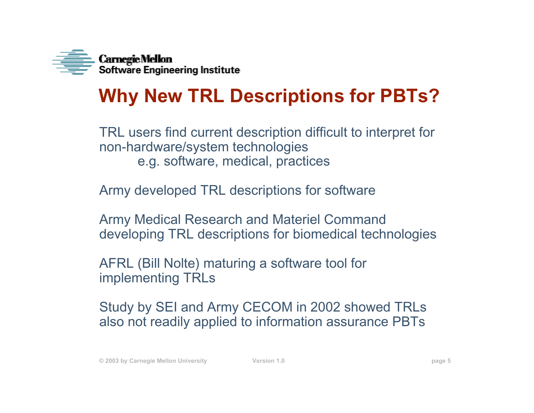

### **Why New TRL Descriptions for PBTs?**

TRL users find current description difficult to interpret for non-hardware/system technologies e.g. software, medical, practices

Army developed TRL descriptions for software

Army Medical Research and Materiel Command developing TRL descriptions for biomedical technologies

AFRL (Bill Nolte) maturing a software tool for implementing TRLs

Study by SEI and Army CECOM in 2002 showed TRLs also not readily applied to information assurance PBTs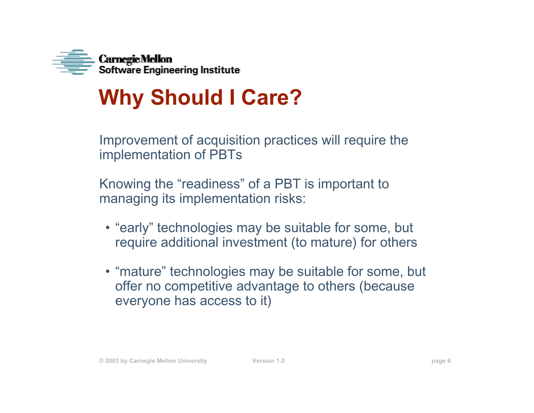

## **Why Should I Care?**

Improvement of acquisition practices will require the implementation of PBTs

Knowing the "readiness" of a PBT is important to managing its implementation risks:

- "early" technologies may be suitable for some, but require additional investment (to mature) for others
- "mature" technologies may be suitable for some, but offer no competitive advantage to others (because everyone has access to it)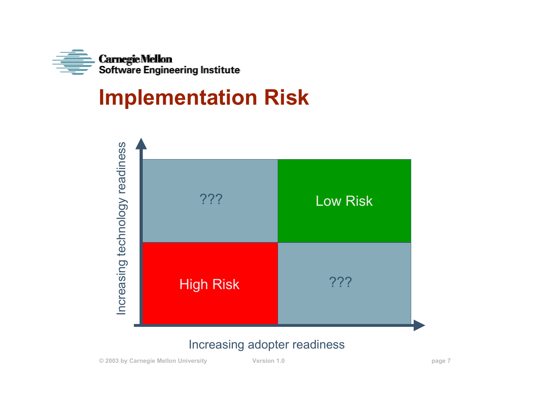

## **Implementation Risk**



#### Increasing adopter readiness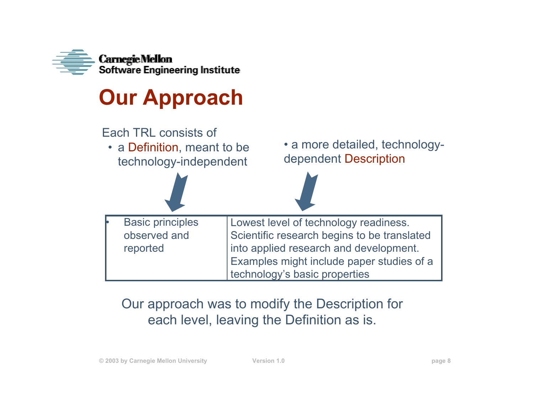

## **Our Approach**



#### Our approach was to modify the Description for each level, leaving the Definition as is.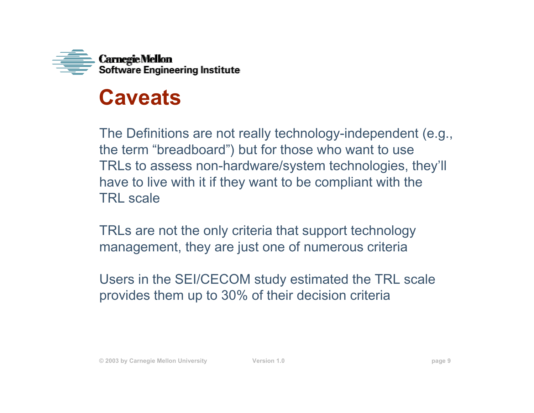

### **Caveats**

The Definitions are not really technology-independent (e.g., the term "breadboard") but for those who want to use TRLs to assess non-hardware/system technologies, they'll have to live with it if they want to be compliant with the TRL scale

TRLs are not the only criteria that support technology management, they are just one of numerous criteria

Users in the SEI/CECOM study estimated the TRL scale provides them up to 30% of their decision criteria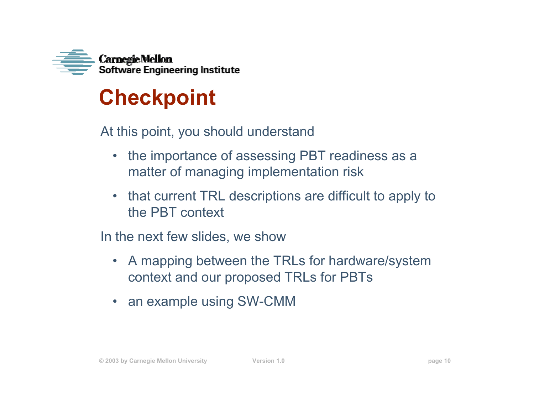

## **Checkpoint**

At this point, you should understand

- $\bullet$  the importance of assessing PBT readiness as a matter of managing implementation risk
- $\bullet$  that current TRL descriptions are difficult to apply to the PBT context

In the next few slides, we show

- A mapping between the TRLs for hardware/system context and our proposed TRLs for PBTs
- $\bullet$ an example using SW-CMM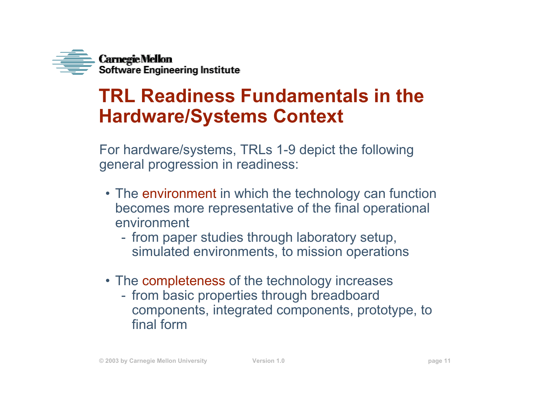

### **TRL Readiness Fundamentals in theHardware/Systems Context**

For hardware/systems, TRLs 1-9 depict the following general progression in readiness:

- The environment in which the technology can function becomes more representative of the final operational environment
	- from paper studies through laboratory setup, simulated environments, to mission operations
- The completeness of the technology increases
	- from basic properties through breadboard components, integrated components, prototype, to final form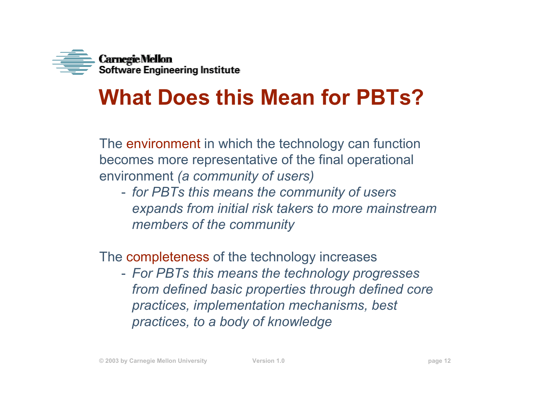

## **What Does this Mean for PBTs?**

The environment in which the technology can function becomes more representative of the final operational environment *(a community of users)*

 *for PBTs this means the community of users expands from initial risk takers to more mainstream members of the community*

The completeness of the technology increases

 *For PBTs this means the technology progresses from defined basic properties through defined core practices, implementation mechanisms, best practices, to a body of knowledge*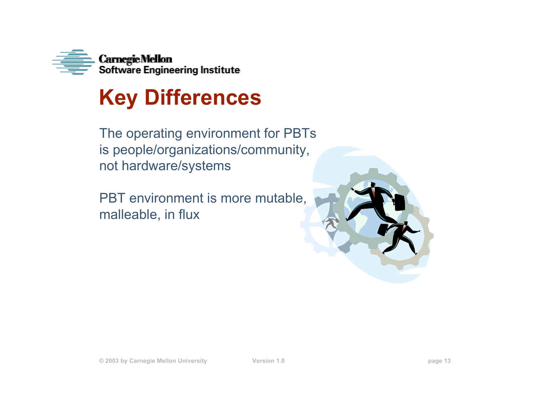

## **Key Differences**

The operating environment for PBTs is people/organizations/community, not hardware/systems

PBT environment is more mutable, malleable, in flux

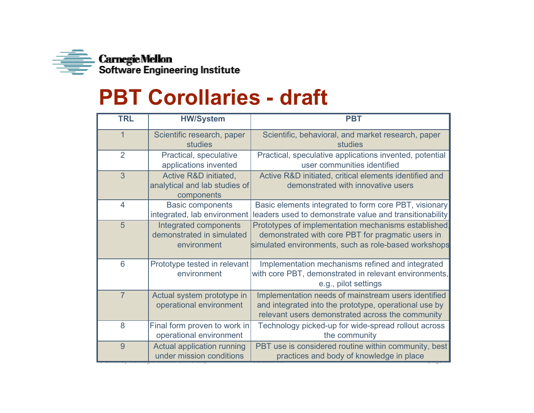

## **PBT Corollaries - draft**

| <b>TRL</b>     | <b>HW/System</b>                                                     | <b>PBT</b>                                                                                                                                                        |
|----------------|----------------------------------------------------------------------|-------------------------------------------------------------------------------------------------------------------------------------------------------------------|
| $\mathbf 1$    | Scientific research, paper<br>studies                                | Scientific, behavioral, and market research, paper<br>studies                                                                                                     |
| $\overline{2}$ | Practical, speculative<br>applications invented                      | Practical, speculative applications invented, potential<br>user communities identified                                                                            |
| 3              | Active R&D initiated,<br>analytical and lab studies of<br>components | Active R&D initiated, critical elements identified and<br>demonstrated with innovative users                                                                      |
| $\overline{4}$ | <b>Basic components</b><br>integrated, lab environment               | Basic elements integrated to form core PBT, visionary<br>leaders used to demonstrate value and transitionability                                                  |
| 5              | Integrated components<br>demonstrated in simulated<br>environment    | Prototypes of implementation mechanisms established.<br>demonstrated with core PBT for pragmatic users in<br>simulated environments, such as role-based workshops |
| 6              | Prototype tested in relevant<br>environment                          | Implementation mechanisms refined and integrated<br>with core PBT, demonstrated in relevant environments,<br>e.g., pilot settings                                 |
| $\overline{7}$ | Actual system prototype in<br>operational environment                | Implementation needs of mainstream users identified<br>and integrated into the prototype, operational use by<br>relevant users demonstrated across the community  |
| 8              | Final form proven to work in<br>operational environment              | Technology picked-up for wide-spread rollout across<br>the community                                                                                              |
| 9              | <b>Actual application running</b><br>under mission conditions        | PBT use is considered routine within community, best<br>practices and body of knowledge in place                                                                  |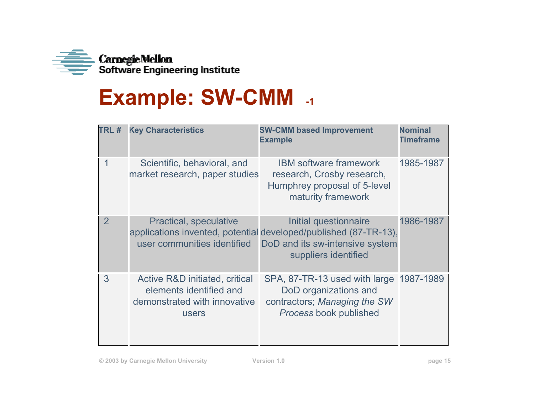

## **Example: SW-CMM -1**

| TRL#           | <b>Key Characteristics</b>                                                                         | <b>SW-CMM based Improvement</b><br><b>Example</b>                                                                                                    | <b>Nominal</b><br><b>Timeframe</b> |
|----------------|----------------------------------------------------------------------------------------------------|------------------------------------------------------------------------------------------------------------------------------------------------------|------------------------------------|
| 1              | Scientific, behavioral, and<br>market research, paper studies                                      | <b>IBM software framework</b><br>research, Crosby research,<br>Humphrey proposal of 5-level<br>maturity framework                                    | 1985-1987                          |
| $\overline{2}$ | <b>Practical, speculative</b><br>user communities identified                                       | Initial questionnaire<br>applications invented, potential developed/published (87-TR-13),<br>DoD and its sw-intensive system<br>suppliers identified | 1986-1987                          |
| 3              | Active R&D initiated, critical<br>elements identified and<br>demonstrated with innovative<br>users | SPA, 87-TR-13 used with large 1987-1989<br>DoD organizations and<br>contractors; Managing the SW<br>Process book published                           |                                    |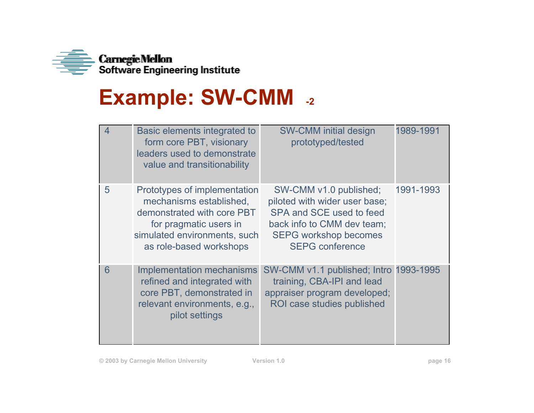

## **Example: SW-CMM -2**

| 4 | Basic elements integrated to<br>form core PBT, visionary<br>leaders used to demonstrate<br>value and transitionability                                                     | <b>SW-CMM initial design</b><br>prototyped/tested                                                                                                                           | 1989-1991 |
|---|----------------------------------------------------------------------------------------------------------------------------------------------------------------------------|-----------------------------------------------------------------------------------------------------------------------------------------------------------------------------|-----------|
| 5 | Prototypes of implementation<br>mechanisms established,<br>demonstrated with core PBT<br>for pragmatic users in<br>simulated environments, such<br>as role-based workshops | SW-CMM v1.0 published;<br>piloted with wider user base;<br>SPA and SCE used to feed<br>back info to CMM dev team;<br><b>SEPG workshop becomes</b><br><b>SEPG</b> conference | 1991-1993 |
| 6 | Implementation mechanisms<br>refined and integrated with<br>core PBT, demonstrated in<br>relevant environments, e.g.,<br>pilot settings                                    | SW-CMM v1.1 published; Intro 1993-1995<br>training, CBA-IPI and lead<br>appraiser program developed;<br>ROI case studies published                                          |           |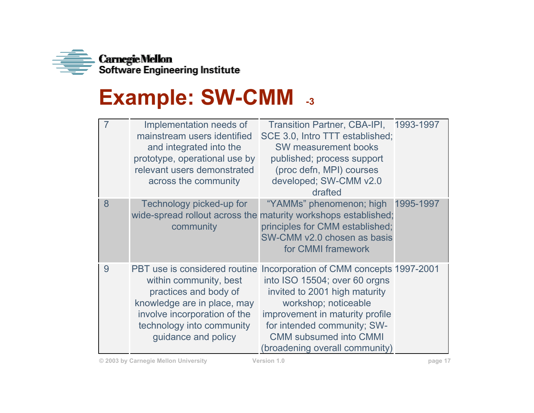

## **Example: SW-CMM -3**

|   | Implementation needs of<br>mainstream users identified<br>and integrated into the<br>prototype, operational use by<br>relevant users demonstrated<br>across the community | Transition Partner, CBA-IPI, 1993-1997<br>SCE 3.0, Intro TTT established;<br>SW measurement books<br>published; process support<br>(proc defn, MPI) courses<br>developed; SW-CMM v2.0<br>drafted                                                                                                     |           |
|---|---------------------------------------------------------------------------------------------------------------------------------------------------------------------------|------------------------------------------------------------------------------------------------------------------------------------------------------------------------------------------------------------------------------------------------------------------------------------------------------|-----------|
| 8 | Technology picked-up for<br>community                                                                                                                                     | "YAMMs" phenomenon; high<br>wide-spread rollout across the maturity workshops established;<br>principles for CMM established;<br>SW-CMM v2.0 chosen as basis<br>for CMMI framework                                                                                                                   | 1995-1997 |
| 9 | within community, best<br>practices and body of<br>knowledge are in place, may<br>involve incorporation of the<br>technology into community<br>guidance and policy        | PBT use is considered routine Incorporation of CMM concepts 1997-2001<br>into ISO 15504; over 60 orgns<br>invited to 2001 high maturity<br>workshop; noticeable<br>improvement in maturity profile<br>for intended community; SW-<br><b>CMM subsumed into CMMI</b><br>(broadening overall community) |           |